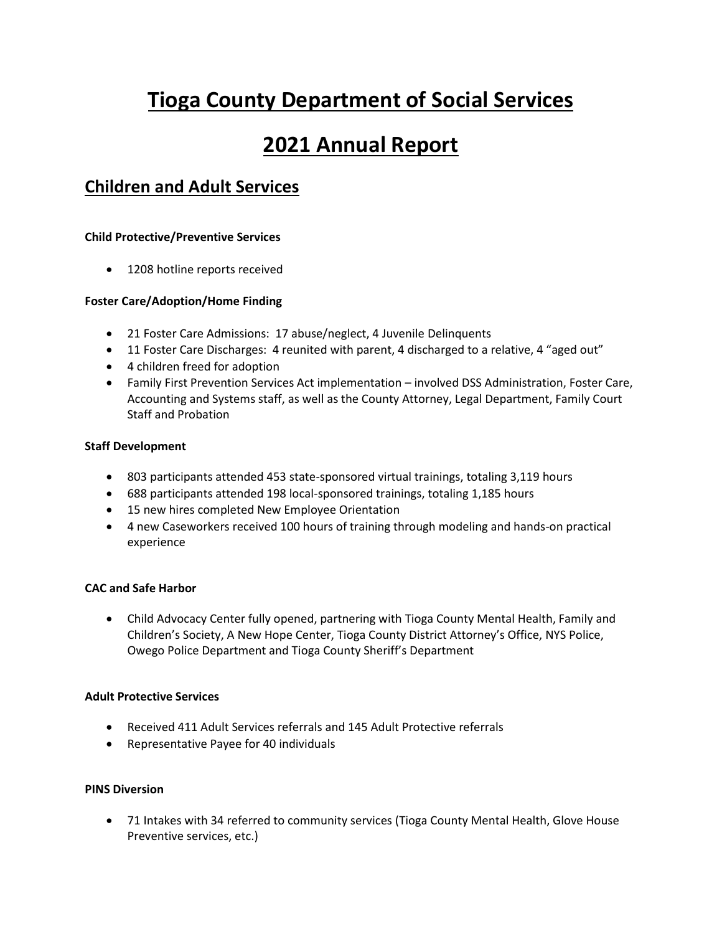# **Tioga County Department of Social Services**

# **2021 Annual Report**

## **Children and Adult Services**

### **Child Protective/Preventive Services**

• 1208 hotline reports received

### **Foster Care/Adoption/Home Finding**

- 21 Foster Care Admissions: 17 abuse/neglect, 4 Juvenile Delinquents
- 11 Foster Care Discharges: 4 reunited with parent, 4 discharged to a relative, 4 "aged out"
- 4 children freed for adoption
- Family First Prevention Services Act implementation involved DSS Administration, Foster Care, Accounting and Systems staff, as well as the County Attorney, Legal Department, Family Court Staff and Probation

### **Staff Development**

- 803 participants attended 453 state-sponsored virtual trainings, totaling 3,119 hours
- 688 participants attended 198 local-sponsored trainings, totaling 1,185 hours
- 15 new hires completed New Employee Orientation
- 4 new Caseworkers received 100 hours of training through modeling and hands-on practical experience

### **CAC and Safe Harbor**

 Child Advocacy Center fully opened, partnering with Tioga County Mental Health, Family and Children's Society, A New Hope Center, Tioga County District Attorney's Office, NYS Police, Owego Police Department and Tioga County Sheriff's Department

### **Adult Protective Services**

- Received 411 Adult Services referrals and 145 Adult Protective referrals
- Representative Payee for 40 individuals

### **PINS Diversion**

 71 Intakes with 34 referred to community services (Tioga County Mental Health, Glove House Preventive services, etc.)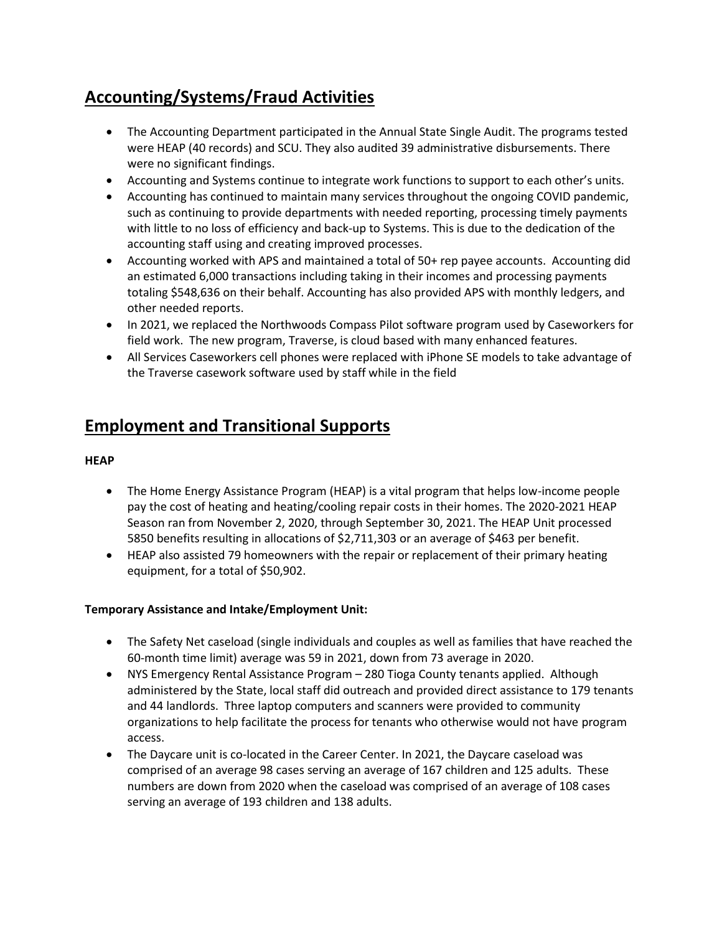# **Accounting/Systems/Fraud Activities**

- The Accounting Department participated in the Annual State Single Audit. The programs tested were HEAP (40 records) and SCU. They also audited 39 administrative disbursements. There were no significant findings.
- Accounting and Systems continue to integrate work functions to support to each other's units.
- Accounting has continued to maintain many services throughout the ongoing COVID pandemic, such as continuing to provide departments with needed reporting, processing timely payments with little to no loss of efficiency and back-up to Systems. This is due to the dedication of the accounting staff using and creating improved processes.
- Accounting worked with APS and maintained a total of 50+ rep payee accounts. Accounting did an estimated 6,000 transactions including taking in their incomes and processing payments totaling \$548,636 on their behalf. Accounting has also provided APS with monthly ledgers, and other needed reports.
- In 2021, we replaced the Northwoods Compass Pilot software program used by Caseworkers for field work. The new program, Traverse, is cloud based with many enhanced features.
- All Services Caseworkers cell phones were replaced with iPhone SE models to take advantage of the Traverse casework software used by staff while in the field

### **Employment and Transitional Supports**

### **HEAP**

- The Home Energy Assistance Program (HEAP) is a vital program that helps low-income people pay the cost of heating and heating/cooling repair costs in their homes. The 2020-2021 HEAP Season ran from November 2, 2020, through September 30, 2021. The HEAP Unit processed 5850 benefits resulting in allocations of \$2,711,303 or an average of \$463 per benefit.
- HEAP also assisted 79 homeowners with the repair or replacement of their primary heating equipment, for a total of \$50,902.

### **Temporary Assistance and Intake/Employment Unit:**

- The Safety Net caseload (single individuals and couples as well as families that have reached the 60-month time limit) average was 59 in 2021, down from 73 average in 2020.
- NYS Emergency Rental Assistance Program 280 Tioga County tenants applied. Although administered by the State, local staff did outreach and provided direct assistance to 179 tenants and 44 landlords. Three laptop computers and scanners were provided to community organizations to help facilitate the process for tenants who otherwise would not have program access.
- The Daycare unit is co-located in the Career Center. In 2021, the Daycare caseload was comprised of an average 98 cases serving an average of 167 children and 125 adults. These numbers are down from 2020 when the caseload was comprised of an average of 108 cases serving an average of 193 children and 138 adults.